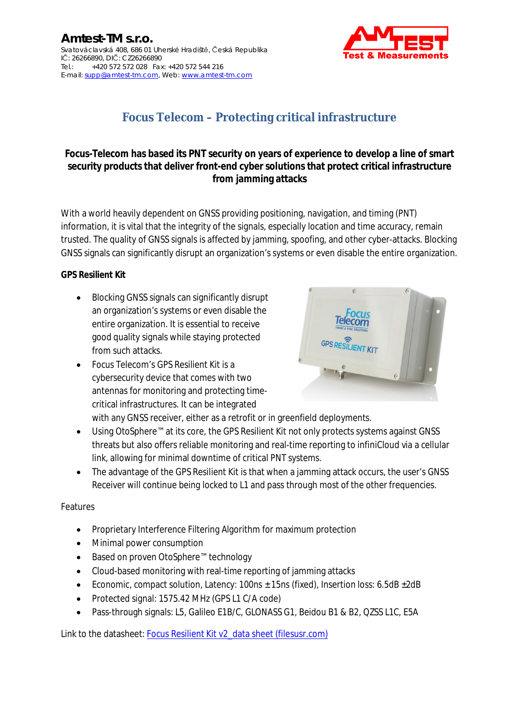

# **Focus Telecom – Protecting critical infrastructure**

**Focus-Telecom has based its PNT security on years of experience to develop a line of smart security products that deliver front-end cyber solutions that protect critical infrastructure from jamming attacks**

With a world heavily dependent on GNSS providing positioning, navigation, and timing (PNT) information, it is vital that the integrity of the signals, especially location and time accuracy, remain trusted. The quality of GNSS signals is affected by jamming, spoofing, and other cyber-attacks. Blocking GNSS signals can significantly disrupt an organization's systems or even disable the entire organization.

**GPS Resilient Kit**

- Blocking GNSS signals can significantly disrupt an organization's systems or even disable the entire organization. It is essential to receive good quality signals while staying protected from such attacks.
- Focus Telecom's GPS Resilient Kit is a cybersecurity device that comes with two antennas for monitoring and protecting timecritical infrastructures. It can be integrated



with any GNSS receiver, either as a retrofit or in greenfield deployments.

- Using OtoSphere™ at its core, the GPS Resilient Kit not only protects systems against GNSS threats but also offers reliable monitoring and real-time reporting to infiniCloud via a cellular link, allowing for minimal downtime of critical PNT systems.
- The advantage of the GPS Resilient Kit is that when a jamming attack occurs, the user's GNSS Receiver will continue being locked to L1 and pass through most of the other frequencies.

## Features

- Proprietary Interference Filtering Algorithm for maximum protection
- Minimal power consumption
- Based on proven OtoSphere™ technology
- Cloud-based monitoring with real-time reporting of jamming attacks
- Economic, compact solution, Latency: 100ns  $\pm$  15ns (fixed), Insertion loss: 6.5dB  $\pm$ 2dB
- Protected signal: 1575.42 MHz (GPS L1 C/A code)
- Pass-through signals: L5, Galileo E1B/C, GLONASS G1, Beidou B1 & B2, QZSS L1C, E5A

Link to the datasheet: [Focus Resilient Kit v2\\_data sheet \(filesusr.com\)](https://74a49f0a-5c21-4ccb-b7c5-cab56d25379e.filesusr.com/ugd/ca9274_85e25c25f6364d1e961b5711affb5b9d.pdf)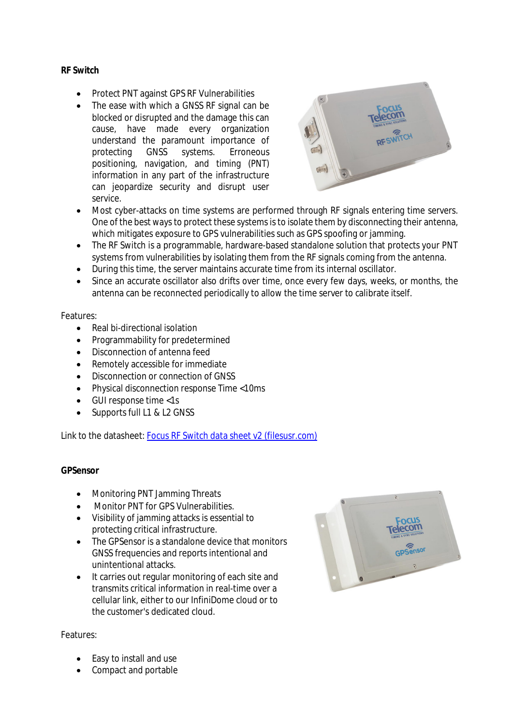### **RF Sw[itch](mailto:supp@amtest-tm.com)**

- Protect PNT against GPS RF Vulnerabilities
- The ease with which a GNSS RF signal can be blocked or disrupted and the damage this can cause, have made every organization understand the paramount importance of protecting GNSS systems. Erroneous positioning, navigation, and timing (PNT) information in any part of the infrastructure can jeopardize security and disrupt user service.



- Most cyber-attacks on time systems are performed through RF signals entering time servers. One of the best ways to protect these systems is to isolate them by disconnecting their antenna, which mitigates exposure to GPS vulnerabilities such as GPS spoofing or jamming.
- The RF Switch is a programmable, hardware-based standalone solution that protects your PNT systems from vulnerabilities by isolating them from the RF signals coming from the antenna.
- During this time, the server maintains accurate time from its internal oscillator.
- Since an accurate oscillator also drifts over time, once every few days, weeks, or months, the antenna can be reconnected periodically to allow the time server to calibrate itself.

### Features:

- Real bi-directional isolation
- Programmability for predetermined
- Disconnection of antenna feed
- Remotely accessible for immediate
- Disconnection or connection of GNSS
- Physical disconnection response Time <10ms
- GUI response time <1s
- Supports full L1 & L2 GNSS

Link to the datasheet: [Focus RF Switch data sheet v2 \(filesusr.com\)](https://74a49f0a-5c21-4ccb-b7c5-cab56d25379e.filesusr.com/ugd/ca9274_9b4e5b833ff143bcbb29b8d87272d72c.pdf)

### **GPSensor**

- Monitoring PNT Jamming Threats
- Monitor PNT for GPS Vulnerabilities.
- Visibility of jamming attacks is essential to protecting critical infrastructure.
- The GPSensor is a standalone device that monitors GNSS frequencies and reports intentional and unintentional attacks.
- It carries out regular monitoring of each site and transmits critical information in real-time over a cellular link, either to our InfiniDome cloud or to the customer's dedicated cloud.



- Easy to install and use
- Compact and portable